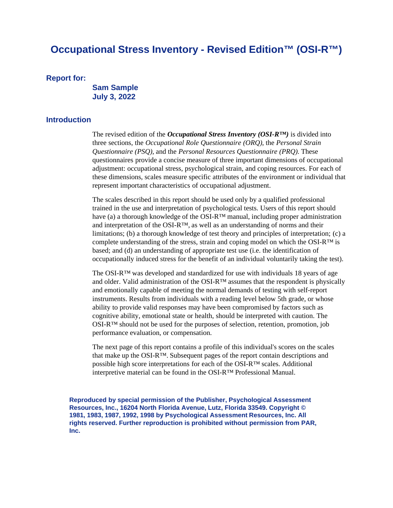# **Occupational Stress Inventory - Revised Edition™ (OSI-R™)**

#### **Report for:**

**Sam Sample July 3, 2022**

### **Introduction**

The revised edition of the *Occupational Stress Inventory (OSI-R™)* is divided into three sections, the *Occupational Role Questionnaire (ORQ)*, the *Personal Strain Questionnaire (PSQ)*, and the *Personal Resources Questionnaire (PRQ)*. These questionnaires provide a concise measure of three important dimensions of occupational adjustment: occupational stress, psychological strain, and coping resources. For each of these dimensions, scales measure specific attributes of the environment or individual that represent important characteristics of occupational adjustment.

The scales described in this report should be used only by a qualified professional trained in the use and interpretation of psychological tests. Users of this report should have (a) a thorough knowledge of the OSI-R™ manual, including proper administration and interpretation of the OSI-R<sup>TM</sup>, as well as an understanding of norms and their limitations; (b) a thorough knowledge of test theory and principles of interpretation; (c) a complete understanding of the stress, strain and coping model on which the OSI- $R^{TM}$  is based; and (d) an understanding of appropriate test use (i.e. the identification of occupationally induced stress for the benefit of an individual voluntarily taking the test).

The OSI-R<sup>TM</sup> was developed and standardized for use with individuals 18 years of age and older. Valid administration of the OSI-R™ assumes that the respondent is physically and emotionally capable of meeting the normal demands of testing with self-report instruments. Results from individuals with a reading level below 5th grade, or whose ability to provide valid responses may have been compromised by factors such as cognitive ability, emotional state or health, should be interpreted with caution. The OSI-R™ should not be used for the purposes of selection, retention, promotion, job performance evaluation, or compensation.

The next page of this report contains a profile of this individual's scores on the scales that make up the OSI-R™. Subsequent pages of the report contain descriptions and possible high score interpretations for each of the OSI-R™ scales. Additional interpretive material can be found in the OSI-R™ Professional Manual.

**Reproduced by special permission of the Publisher, Psychological Assessment Resources, Inc., 16204 North Florida Avenue, Lutz, Florida 33549. Copyright © 1981, 1983, 1987, 1992, 1998 by Psychological Assessment Resources, Inc. All rights reserved. Further reproduction is prohibited without permission from PAR, Inc.**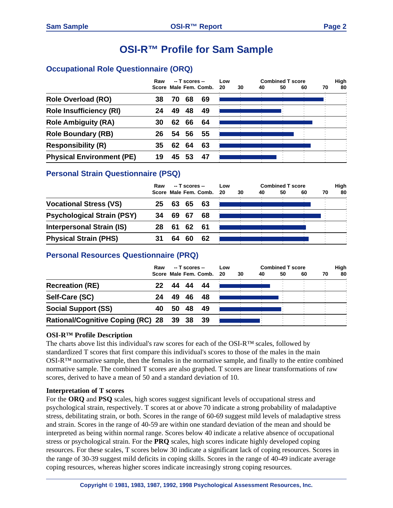# **OSI-R™ Profile for Sam Sample**

# **Occupational Role Questionnaire (ORQ)**

|                                  | $-$ T scores $-$<br>Raw |    |    |                       | Low |    | <b>Combined T score</b>  |    |    | High |    |
|----------------------------------|-------------------------|----|----|-----------------------|-----|----|--------------------------|----|----|------|----|
|                                  |                         |    |    | Score Male Fem. Comb. | 20  | 30 | 40                       | 50 | 60 | 70   | 80 |
| <b>Role Overload (RO)</b>        | 38                      | 70 | 68 | 69                    |     |    |                          |    |    |      |    |
| <b>Role Insufficiency (RI)</b>   | 24                      | 49 | 48 | 49                    |     |    |                          |    |    |      |    |
| <b>Role Ambiguity (RA)</b>       | 30                      | 62 | 66 | 64                    |     |    | $\overline{\phantom{a}}$ |    |    |      |    |
| <b>Role Boundary (RB)</b>        | 26                      | 54 | 56 | 55                    |     |    |                          |    |    |      |    |
| <b>Responsibility (R)</b>        | 35                      | 62 | 64 | 63                    |     |    |                          |    |    |      |    |
| <b>Physical Environment (PE)</b> | 19                      |    |    | 47                    |     |    | $\sim$                   |    |    |      |    |
|                                  |                         |    |    |                       |     |    |                          |    |    |      |    |

## **Personal Strain Questionnaire (PSQ)**

|                                   | Raw | $-$ T scores $-$ |     |                       | Low |    |    | <b>Combined T score</b> |    |    | High |  |
|-----------------------------------|-----|------------------|-----|-----------------------|-----|----|----|-------------------------|----|----|------|--|
|                                   |     |                  |     | Score Male Fem. Comb. | -20 | 30 | 40 | 50                      | 60 | 70 | 80   |  |
| <b>Vocational Stress (VS)</b>     | 25  | 63               | 65  | 63                    |     |    |    |                         |    |    |      |  |
| <b>Psychological Strain (PSY)</b> | 34  | 69               | -67 | 68                    |     |    |    |                         |    |    |      |  |
| <b>Interpersonal Strain (IS)</b>  | 28  | 61               | 62  | 61                    |     |    |    |                         |    |    |      |  |
| <b>Physical Strain (PHS)</b>      | 31  | 64               | 60  | 62                    |     |    |    |                         |    |    |      |  |

## **Personal Resources Questionnaire (PRQ)**

|                                         | Raw | $-$ T scores $-$ |    |                       | Low |    | <b>Combined T score</b> |         |    | High |    |
|-----------------------------------------|-----|------------------|----|-----------------------|-----|----|-------------------------|---------|----|------|----|
|                                         |     |                  |    | Score Male Fem. Comb. | 20  | 30 | 40                      | 50      | 60 | 70   | 80 |
| <b>Recreation (RE)</b>                  | 22. | 44               | 44 | 44                    |     |    |                         |         |    |      |    |
| Self-Care (SC)                          | 24  | 49               |    | 48                    |     |    |                         | $\cdot$ |    |      |    |
| <b>Social Support (SS)</b>              | 40  | 50               | 48 | 49                    |     |    |                         |         |    |      |    |
| Rational/Cognitive Coping (RC) 28 39 38 |     |                  |    | 39                    |     |    |                         |         |    |      |    |

## **OSI-R™ Profile Description**

The charts above list this individual's raw scores for each of the OSI-R<sup>™</sup> scales, followed by standardized T scores that first compare this individual's scores to those of the males in the main OSI-R™ normative sample, then the females in the normative sample, and finally to the entire combined normative sample. The combined T scores are also graphed. T scores are linear transformations of raw scores, derived to have a mean of 50 and a standard deviation of 10.

## **Interpretation of T scores**

For the **ORQ** and **PSQ** scales, high scores suggest significant levels of occupational stress and psychological strain, respectively. T scores at or above 70 indicate a strong probability of maladaptive stress, debilitating strain, or both. Scores in the range of 60-69 suggest mild levels of maladaptive stress and strain. Scores in the range of 40-59 are within one standard deviation of the mean and should be interpreted as being within normal range. Scores below 40 indicate a relative absence of occupational stress or psychological strain. For the **PRQ** scales, high scores indicate highly developed coping resources. For these scales, T scores below 30 indicate a significant lack of coping resources. Scores in the range of 30-39 suggest mild deficits in coping skills. Scores in the range of 40-49 indicate average coping resources, whereas higher scores indicate increasingly strong coping resources.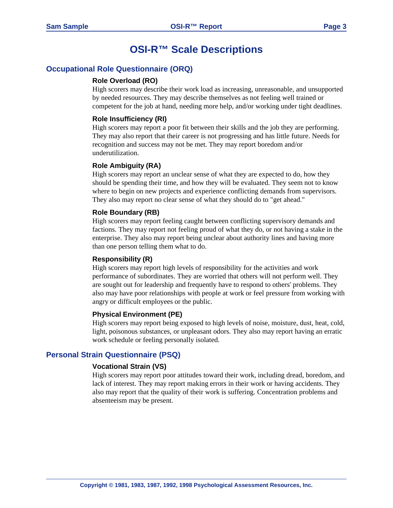# **OSI-R™ Scale Descriptions**

# **Occupational Role Questionnaire (ORQ)**

### **Role Overload (RO)**

High scorers may describe their work load as increasing, unreasonable, and unsupported by needed resources. They may describe themselves as not feeling well trained or competent for the job at hand, needing more help, and/or working under tight deadlines.

### **Role Insufficiency (RI)**

High scorers may report a poor fit between their skills and the job they are performing. They may also report that their career is not progressing and has little future. Needs for recognition and success may not be met. They may report boredom and/or underutilization.

### **Role Ambiguity (RA)**

High scorers may report an unclear sense of what they are expected to do, how they should be spending their time, and how they will be evaluated. They seem not to know where to begin on new projects and experience conflicting demands from supervisors. They also may report no clear sense of what they should do to "get ahead."

#### **Role Boundary (RB)**

High scorers may report feeling caught between conflicting supervisory demands and factions. They may report not feeling proud of what they do, or not having a stake in the enterprise. They also may report being unclear about authority lines and having more than one person telling them what to do.

#### **Responsibility (R)**

High scorers may report high levels of responsibility for the activities and work performance of subordinates. They are worried that others will not perform well. They are sought out for leadership and frequently have to respond to others' problems. They also may have poor relationships with people at work or feel pressure from working with angry or difficult employees or the public.

#### **Physical Environment (PE)**

High scorers may report being exposed to high levels of noise, moisture, dust, heat, cold, light, poisonous substances, or unpleasant odors. They also may report having an erratic work schedule or feeling personally isolated.

## **Personal Strain Questionnaire (PSQ)**

#### **Vocational Strain (VS)**

High scorers may report poor attitudes toward their work, including dread, boredom, and lack of interest. They may report making errors in their work or having accidents. They also may report that the quality of their work is suffering. Concentration problems and absenteeism may be present.